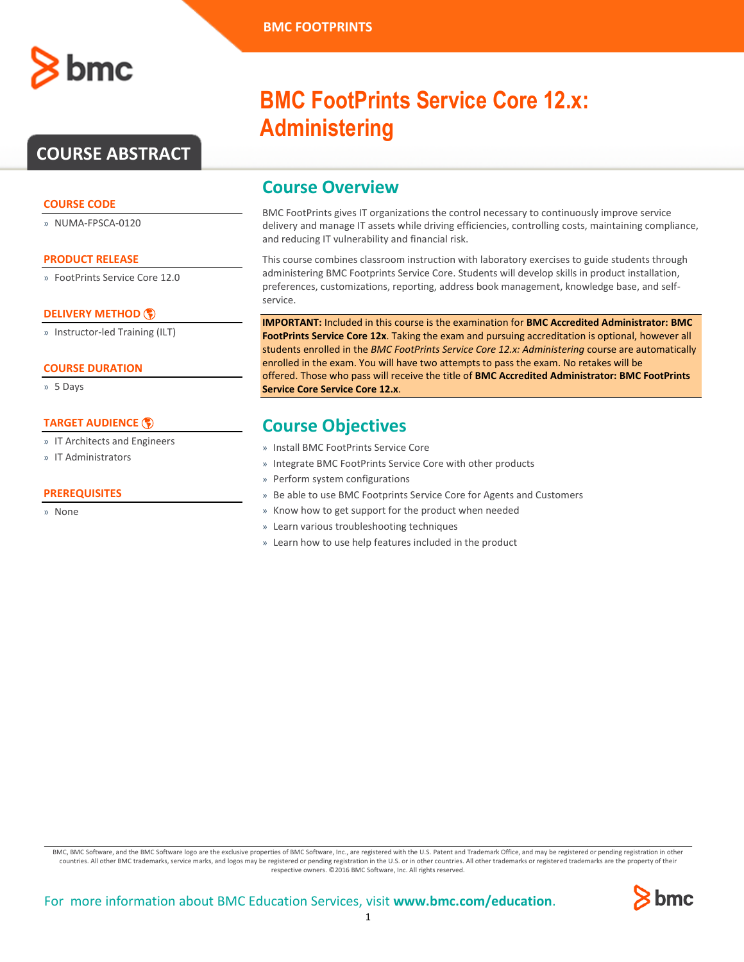# **COURSE ABSTRACT**

# **COURSE CODE**

» NUMA-FPSCA-0120

# **PRODUCT RELEASE**

» FootPrints Service Core 12.0

# **[DELIVERY METHOD](http://www.bmc.com/education/modality.html)**

» Instructor-led Training (ILT)

# **COURSE DURATION**

» 5 Days

# **[TARGET AUDIENCE](http://www.bmc.com/education/learning-paths/education-filters-learning-paths.html)**

- » IT Architects and Engineers
- » IT Administrators

# **PREREQUISITES**

» None

# **BMC FootPrints Service Core 12.x: Administering**

# **Course Overview**

BMC FootPrints gives IT organizations the control necessary to continuously improve service delivery and manage IT assets while driving efficiencies, controlling costs, maintaining compliance, and reducing IT vulnerability and financial risk.

This course combines classroom instruction with laboratory exercises to guide students through administering BMC Footprints Service Core. Students will develop skills in product installation, preferences, customizations, reporting, address book management, knowledge base, and selfservice.

**IMPORTANT:** Included in this course is the examination for **BMC Accredited Administrator: BMC FootPrints Service Core 12x**. Taking the exam and pursuing accreditation is optional, however all students enrolled in the *BMC FootPrints Service Core 12.x: Administering* course are automatically enrolled in the exam. You will have two attempts to pass the exam. No retakes will be offered. Those who pass will receive the title of **BMC Accredited Administrator: BMC FootPrints Service Core Service Core 12.x**.

# **Course Objectives**

- » Install BMC FootPrints Service Core
- » Integrate BMC FootPrints Service Core with other products
- » Perform system configurations
- » Be able to use BMC Footprints Service Core for Agents and Customers
- » Know how to get support for the product when needed
- » Learn various troubleshooting techniques
- » Learn how to use help features included in the product

BMC, BMC Software, and the BMC Software logo are the exclusive properties of BMC Software, Inc., are registered with the U.S. Patent and Trademark Office, and may be registered or pending registration in other countries. All other BMC trademarks, service marks, and logos may be registered or pending registration in the U.S. or in other countries. All other trademarks or registered trademarks are the property of their respective owners. ©2016 BMC Software, Inc. All rights reserved.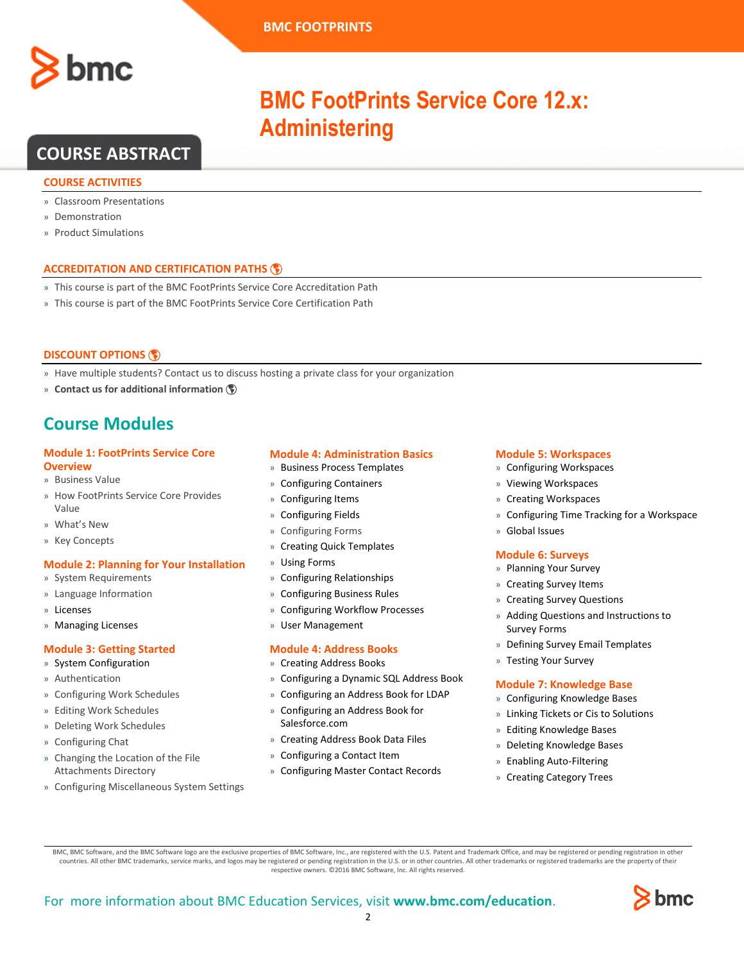

**Administering**

**BMC FootPrints Service Core 12.x:** 

# **COURSE ABSTRACT**

# **COURSE ACTIVITIES**

- » Classroom Presentations
- » Demonstration
- » Product Simulations

# **ACCREDITATION AN[D CERTIFICATION PATHS](http://www.bmc.com/education/certification-programs)**

- » This course is part of the BMC FootPrints Service Core Accreditation Path
- » This course is part of the BMC FootPrints Service Core Certification Path

# **[DISCOUNT OPTIONS](http://www.bmc.com/education/customer-service/customer-service.html)**

- » Have multiple students? Contact us to discuss hosting a private class for your organization
- » **[Contact us for additional information](http://www.bmc.com/education)**

# **Course Modules**

# **Module 1: FootPrints Service Core Overview**

- » Business Value
- » How FootPrints Service Core Provides Value
- » What's New
- » Key Concepts

# **Module 2: Planning for Your Installation**

- » System Requirements
- » Language Information
- » Licenses
- » Managing Licenses

# **Module 3: Getting Started**

- » System Configuration
- » Authentication
- » Configuring Work Schedules
- » Editing Work Schedules
- » Deleting Work Schedules
- » Configuring Chat
- » Changing the Location of the File Attachments Directory
- » Configuring Miscellaneous System Settings

# **Module 4: Administration Basics**

- » Business Process Templates
- » Configuring Containers
- » Configuring Items
- » Configuring Fields
- » Configuring Forms
- » Creating Quick Templates
- » Using Forms
- » Configuring Relationships
- » Configuring Business Rules
- » Configuring Workflow Processes
- » User Management

# **Module 4: Address Books**

- » Creating Address Books
- » Configuring a Dynamic SQL Address Book
- » Configuring an Address Book for LDAP
- » Configuring an Address Book for Salesforce.com
- » Creating Address Book Data Files
- » Configuring a Contact Item
- » Configuring Master Contact Records

# **Module 5: Workspaces**

- » Configuring Workspaces
- » Viewing Workspaces
- » Creating Workspaces
- » Configuring Time Tracking for a Workspace
- » Global Issues

# **Module 6: Surveys**

- » Planning Your Survey
- » Creating Survey Items
- » Creating Survey Questions
- » Adding Questions and Instructions to Survey Forms
- » Defining Survey Email Templates
- » Testing Your Survey

#### **Module 7: Knowledge Base**

- » Configuring Knowledge Bases
- » Linking Tickets or Cis to Solutions
- » Editing Knowledge Bases
- » Deleting Knowledge Bases
- » Enabling Auto-Filtering
- » Creating Category Trees

BMC, BMC Software, and the BMC Software logo are the exclusive properties of BMC Software, Inc., are registered with the U.S. Patent and Trademark Office, and may be registered or pending registration in other countries. All other BMC trademarks, service marks, and logos may be registered or pending registration in the U.S. or in other countries. All other trademarks or registered trademarks are the property of their respective owners. ©2016 BMC Software, Inc. All rights reserved.